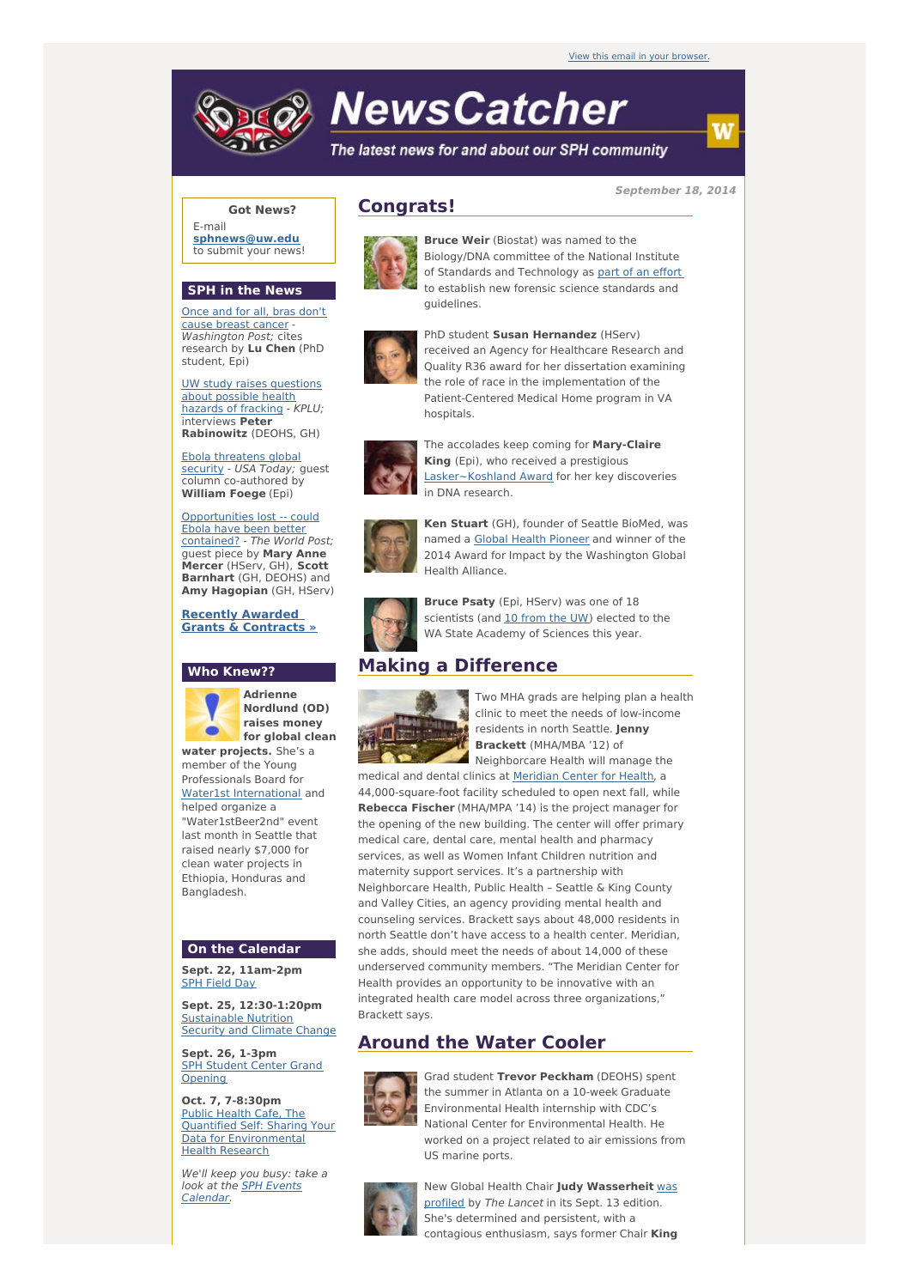

# **NewsCatcher**

The latest news for and about our SPH community

**September 18, 2014**

## **Got News?**

E-mail **[sphnews@uw.edu](mailto:sphnews@uw.edu)** to submit your news!

#### **SPH in the News**

Once and for all, bras don't cause breast [cancer](http://engage.washington.edu/site/R?i=Vb8tJr4EB9z9uHDNeRDn_Q) - Washington Post; cites research by **Lu Chen** (PhD student, Epi)

UW study raises [questions](http://engage.washington.edu/site/R?i=wBBh7yutIXiP_ToeIC2ftA) about possible health hazards of fracking - KPLU; interviews **Peter Rabinowitz** (DEOHS, GH)

Ebola [threatens](http://engage.washington.edu/site/R?i=t_BqMVNnZ_XXpTenjuIHbw) global security - USA Today; quest column co-authored by **William Foege** (Epi)

[Opportunities](http://engage.washington.edu/site/R?i=7HNoogxBbeoQup_ex7cPkA) lost -- could Ebola have been better contained? - The World Post; guest piece by **Mary Anne Mercer** (HServ, GH), **Scott Barnhart** (GH, DEOHS) and **Amy Hagopian** (GH, HServ)

#### **Recently Awarded Grants & [Contracts](http://engage.washington.edu/site/R?i=hc0W4sBpwiU7jLSNLnW5Kg) »**

## **Who Knew??**

**Adrienne Nordlund (OD) raises money**  $\bullet$ **for global clean water projects.** She's a member of the Young Professionals Board for Water1st [International](http://engage.washington.edu/site/R?i=uuBUw77Ne4gmZGwqmJj9Zg) and helped organize a "Water1stBeer2nd" event last month in Seattle that raised nearly \$7,000 for clean water projects in Ethiopia, Honduras and Bangladesh.

#### **On the Calendar**

**Sept. 22, 11am-2pm** SPH [Field](http://engage.washington.edu/site/R?i=BJBZdZaKK5nWD5cHGNlZPQ) Day

**Sept. 25, 12:30-1:20pm** [Sustainable](http://engage.washington.edu/site/R?i=CNmCcbKO_EZnEyLTlgQEPQ) Nutrition Security and Climate Change

**Sept. 26, 1-3pm SPH Student Center Grand [Opening](http://engage.washington.edu/site/R?i=5CIbF5u-6kQBnUAIK2m9rw)** 

**Oct. 7, 7-8:30pm** Public Health Cafe, The Quantified Self: Sharing Your Data for [Environmental](http://engage.washington.edu/site/R?i=mMSBXukhSYB53cekyziufA) Health Research

We'll keep you busy: take a look at the SPH Events [Calendar.](http://engage.washington.edu/site/R?i=g832sk83WBJdlflLaHTNQQ)

# **Congrats!**



**Bruce Weir** (Biostat) was named to the Biology/DNA committee of the National Institute of Standards and Technology as part of an [effort](http://engage.washington.edu/site/R?i=sS9l6BWEZdi9LA0dfxwBjA) to establish new forensic science standards and guidelines.



PhD student **Susan Hernandez** (HServ) received an Agency for Healthcare Research and Quality R36 award for her dissertation examining the role of race in the implementation of the Patient-Centered Medical Home program in VA hospitals.



The accolades keep coming for **Mary-Claire King** (Epi), who received a prestigious [Lasker~Koshland](http://engage.washington.edu/site/R?i=s_I52NPXfnxkygYZaMTBGA) Award for her key discoveries in DNA research.



**Ken Stuart** (GH), founder of Seattle BioMed, was named a Global Health [Pioneer](http://engage.washington.edu/site/R?i=v75-z30shaIdgxXv8_mWkQ) and winner of the 2014 Award for Impact by the Washington Global Health Alliance.



**Bruce Psaty** (Epi, HServ) was one of 18 scientists (and 10 [from](http://engage.washington.edu/site/R?i=NoU9bdPklYtzlK3oSZ-GpQ) the UW) elected to the WA State Academy of Sciences this year.

# **Making a Difference**



Two MHA grads are helping plan a health clinic to meet the needs of low-income residents in north Seattle. **Jenny Brackett** (MHA/MBA '12) of Neighborcare Health will manage the

medical and dental clinics at [Meridian](http://engage.washington.edu/site/R?i=_hxoXj7UDwdHvuXCKQ2FZQ) Center for Health, a 44,000-square-foot facility scheduled to open next fall, while **Rebecca Fischer** (MHA/MPA '14) is the project manager for the opening of the new building. The center will offer primary medical care, dental care, mental health and pharmacy services, as well as Women Infant Children nutrition and maternity support services. It's a partnership with Neighborcare Health, Public Health – Seattle & King County and Valley Cities, an agency providing mental health and counseling services. Brackett says about 48,000 residents in north Seattle don't have access to a health center. Meridian, she adds, should meet the needs of about 14,000 of these underserved community members. "The Meridian Center for Health provides an opportunity to be innovative with an integrated health care model across three organizations," Brackett says.

# **Around the Water Cooler**



Grad student **Trevor Peckham** (DEOHS) spent the summer in Atlanta on a 10-week Graduate Environmental Health internship with CDC's National Center for Environmental Health. He worked on a project related to air emissions from US marine ports.



New Global Health Chair **Judy [Wasserheit](http://engage.washington.edu/site/R?i=543eArNFAdm264DROdG6-w)** was profiled by The Lancet in its Sept. 13 edition. She's determined and persistent, with a contagious enthusiasm, says former Chair **King**